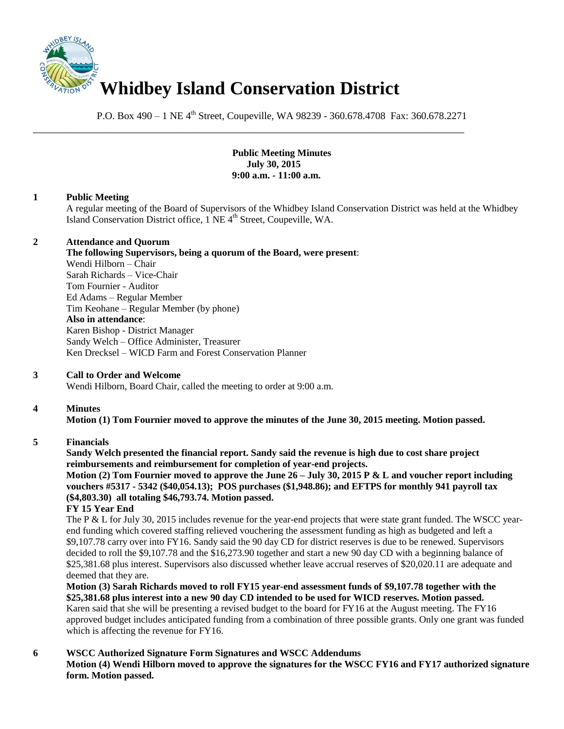

P.O. Box 490 – 1 NE 4<sup>th</sup> Street, Coupeville, WA 98239 - 360.678.4708 Fax: 360.678.2271

\_\_\_\_\_\_\_\_\_\_\_\_\_\_\_\_\_\_\_\_\_\_\_\_\_\_\_\_\_\_\_\_\_\_\_\_\_\_\_\_\_\_\_\_\_\_\_\_\_\_\_\_\_\_\_\_\_\_\_\_\_\_\_\_\_\_\_\_\_\_\_\_\_\_\_\_\_\_

**Public Meeting Minutes July 30, 2015 9:00 a.m. - 11:00 a.m.** 

# **1 Public Meeting**

A regular meeting of the Board of Supervisors of the Whidbey Island Conservation District was held at the Whidbey Island Conservation District office, 1 NE 4<sup>th</sup> Street, Coupeville, WA.

### **2 Attendance and Quorum**

**The following Supervisors, being a quorum of the Board, were present**:

Wendi Hilborn – Chair Sarah Richards – Vice-Chair Tom Fournier - Auditor Ed Adams – Regular Member Tim Keohane – Regular Member (by phone) **Also in attendance**: Karen Bishop - District Manager Sandy Welch – Office Administer, Treasurer Ken Drecksel – WICD Farm and Forest Conservation Planner

# **3 Call to Order and Welcome**

Wendi Hilborn, Board Chair, called the meeting to order at 9:00 a.m.

# **4 Minutes**

**Motion (1) Tom Fournier moved to approve the minutes of the June 30, 2015 meeting. Motion passed.** 

#### **5 Financials**

**Sandy Welch presented the financial report. Sandy said the revenue is high due to cost share project reimbursements and reimbursement for completion of year-end projects.** 

**Motion (2) Tom Fournier moved to approve the June 26 – July 30, 2015 P & L and voucher report including vouchers #5317 - 5342 (\$40,054.13); POS purchases (\$1,948.86); and EFTPS for monthly 941 payroll tax (\$4,803.30) all totaling \$46,793.74. Motion passed.**

#### **FY 15 Year End**

The P & L for July 30, 2015 includes revenue for the year-end projects that were state grant funded. The WSCC yearend funding which covered staffing relieved vouchering the assessment funding as high as budgeted and left a \$9,107.78 carry over into FY16. Sandy said the 90 day CD for district reserves is due to be renewed. Supervisors decided to roll the \$9,107.78 and the \$16,273.90 together and start a new 90 day CD with a beginning balance of \$25,381.68 plus interest. Supervisors also discussed whether leave accrual reserves of \$20,020.11 are adequate and deemed that they are.

**Motion (3) Sarah Richards moved to roll FY15 year-end assessment funds of \$9,107.78 together with the \$25,381.68 plus interest into a new 90 day CD intended to be used for WICD reserves. Motion passed.**  Karen said that she will be presenting a revised budget to the board for FY16 at the August meeting. The FY16 approved budget includes anticipated funding from a combination of three possible grants. Only one grant was funded which is affecting the revenue for FY16.

# **6 WSCC Authorized Signature Form Signatures and WSCC Addendums**

**Motion (4) Wendi Hilborn moved to approve the signatures for the WSCC FY16 and FY17 authorized signature form. Motion passed.**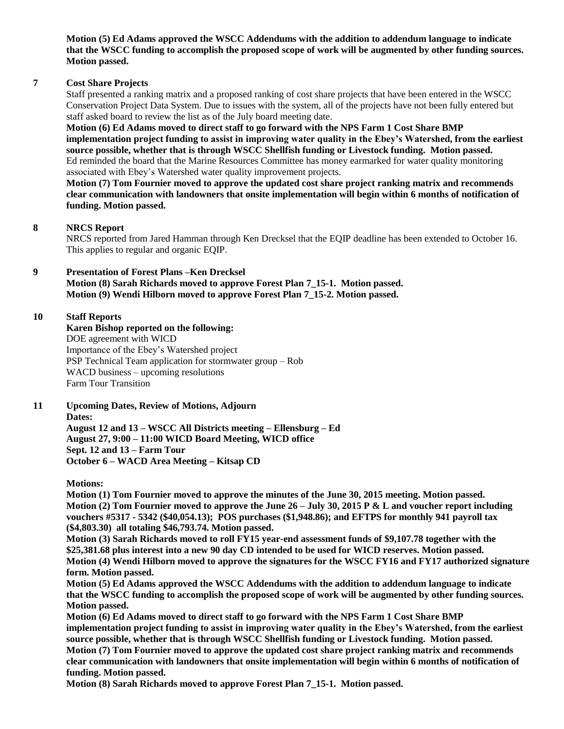**Motion (5) Ed Adams approved the WSCC Addendums with the addition to addendum language to indicate that the WSCC funding to accomplish the proposed scope of work will be augmented by other funding sources. Motion passed.** 

## **7 Cost Share Projects**

Staff presented a ranking matrix and a proposed ranking of cost share projects that have been entered in the WSCC Conservation Project Data System. Due to issues with the system, all of the projects have not been fully entered but staff asked board to review the list as of the July board meeting date.

**Motion (6) Ed Adams moved to direct staff to go forward with the NPS Farm 1 Cost Share BMP implementation project funding to assist in improving water quality in the Ebey's Watershed, from the earliest source possible, whether that is through WSCC Shellfish funding or Livestock funding. Motion passed.**  Ed reminded the board that the Marine Resources Committee has money earmarked for water quality monitoring associated with Ebey's Watershed water quality improvement projects.

**Motion (7) Tom Fournier moved to approve the updated cost share project ranking matrix and recommends clear communication with landowners that onsite implementation will begin within 6 months of notification of funding. Motion passed.** 

### **8 NRCS Report**

NRCS reported from Jared Hamman through Ken Drecksel that the EQIP deadline has been extended to October 16. This applies to regular and organic EQIP.

### **9 Presentation of Forest Plans –Ken Drecksel**

**Motion (8) Sarah Richards moved to approve Forest Plan 7\_15-1. Motion passed. Motion (9) Wendi Hilborn moved to approve Forest Plan 7\_15-2. Motion passed.** 

### **10 Staff Reports**

**Karen Bishop reported on the following:** DOE agreement with WICD Importance of the Ebey's Watershed project PSP Technical Team application for stormwater group – Rob WACD business – upcoming resolutions Farm Tour Transition

**11 Upcoming Dates, Review of Motions, Adjourn Dates:** 

> **August 12 and 13 – WSCC All Districts meeting – Ellensburg – Ed August 27, 9:00 – 11:00 WICD Board Meeting, WICD office Sept. 12 and 13 – Farm Tour October 6 – WACD Area Meeting – Kitsap CD**

**Motions:**

**Motion (1) Tom Fournier moved to approve the minutes of the June 30, 2015 meeting. Motion passed. Motion (2) Tom Fournier moved to approve the June 26 – July 30, 2015 P & L and voucher report including vouchers #5317 - 5342 (\$40,054.13); POS purchases (\$1,948.86); and EFTPS for monthly 941 payroll tax (\$4,803.30) all totaling \$46,793.74. Motion passed.**

**Motion (3) Sarah Richards moved to roll FY15 year-end assessment funds of \$9,107.78 together with the \$25,381.68 plus interest into a new 90 day CD intended to be used for WICD reserves. Motion passed. Motion (4) Wendi Hilborn moved to approve the signatures for the WSCC FY16 and FY17 authorized signature form. Motion passed.** 

**Motion (5) Ed Adams approved the WSCC Addendums with the addition to addendum language to indicate that the WSCC funding to accomplish the proposed scope of work will be augmented by other funding sources. Motion passed.** 

**Motion (6) Ed Adams moved to direct staff to go forward with the NPS Farm 1 Cost Share BMP implementation project funding to assist in improving water quality in the Ebey's Watershed, from the earliest source possible, whether that is through WSCC Shellfish funding or Livestock funding. Motion passed. Motion (7) Tom Fournier moved to approve the updated cost share project ranking matrix and recommends clear communication with landowners that onsite implementation will begin within 6 months of notification of funding. Motion passed.** 

**Motion (8) Sarah Richards moved to approve Forest Plan 7\_15-1. Motion passed.**